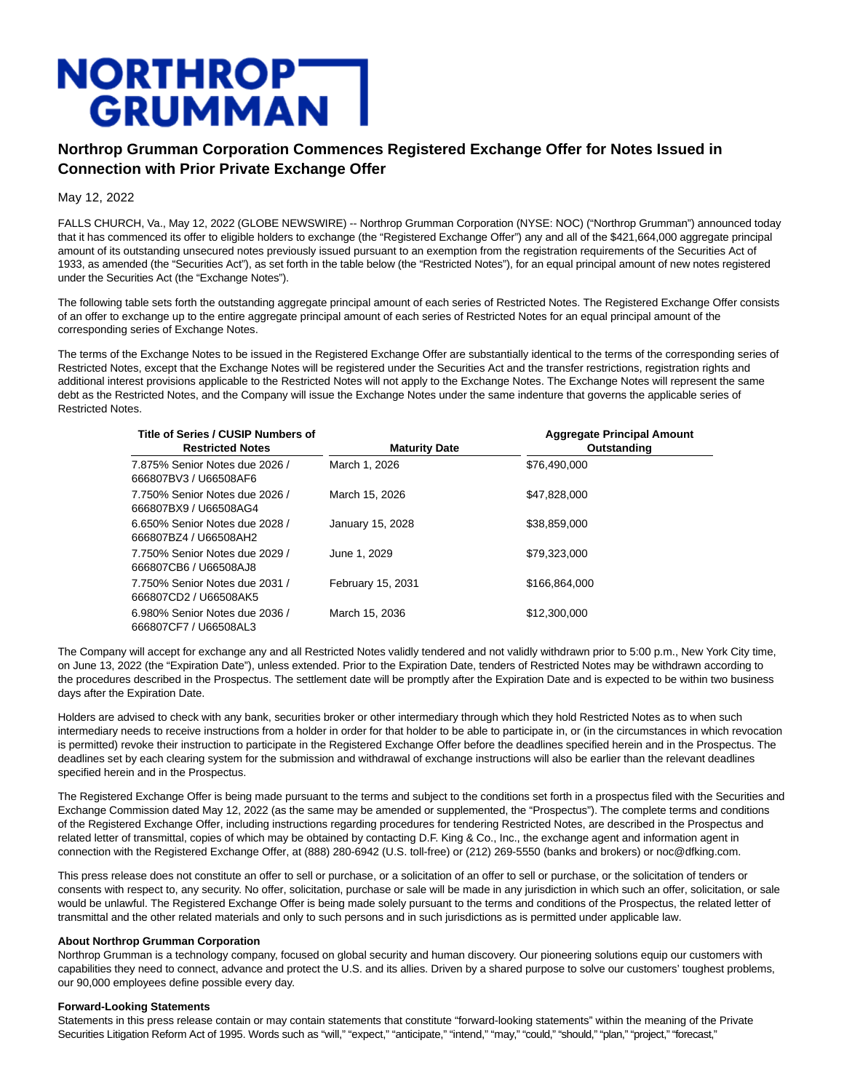## **NORTHROP<br>GRUMMAN**

## **Northrop Grumman Corporation Commences Registered Exchange Offer for Notes Issued in Connection with Prior Private Exchange Offer**

May 12, 2022

FALLS CHURCH, Va., May 12, 2022 (GLOBE NEWSWIRE) -- Northrop Grumman Corporation (NYSE: NOC) ("Northrop Grumman") announced today that it has commenced its offer to eligible holders to exchange (the "Registered Exchange Offer") any and all of the \$421,664,000 aggregate principal amount of its outstanding unsecured notes previously issued pursuant to an exemption from the registration requirements of the Securities Act of 1933, as amended (the "Securities Act"), as set forth in the table below (the "Restricted Notes"), for an equal principal amount of new notes registered under the Securities Act (the "Exchange Notes").

The following table sets forth the outstanding aggregate principal amount of each series of Restricted Notes. The Registered Exchange Offer consists of an offer to exchange up to the entire aggregate principal amount of each series of Restricted Notes for an equal principal amount of the corresponding series of Exchange Notes.

The terms of the Exchange Notes to be issued in the Registered Exchange Offer are substantially identical to the terms of the corresponding series of Restricted Notes, except that the Exchange Notes will be registered under the Securities Act and the transfer restrictions, registration rights and additional interest provisions applicable to the Restricted Notes will not apply to the Exchange Notes. The Exchange Notes will represent the same debt as the Restricted Notes, and the Company will issue the Exchange Notes under the same indenture that governs the applicable series of Restricted Notes.

| Title of Series / CUSIP Numbers of<br><b>Restricted Notes</b> | <b>Maturity Date</b> | <b>Aggregate Principal Amount</b><br>Outstanding |
|---------------------------------------------------------------|----------------------|--------------------------------------------------|
| 7.875% Senior Notes due 2026 /<br>666807BV3 / U66508AF6       | March 1, 2026        | \$76,490,000                                     |
| 7.750% Senior Notes due 2026 /<br>666807BX9 / U66508AG4       | March 15, 2026       | \$47.828,000                                     |
| 6.650% Senior Notes due 2028 /<br>666807BZ4 / U66508AH2       | January 15, 2028     | \$38,859,000                                     |
| 7.750% Senior Notes due 2029 /<br>666807CB6 / U66508AJ8       | June 1, 2029         | \$79,323,000                                     |
| 7.750% Senior Notes due 2031 /<br>666807CD2 / U66508AK5       | February 15, 2031    | \$166.864.000                                    |
| 6.980% Senior Notes due 2036 /<br>666807CF7/U66508AL3         | March 15, 2036       | \$12,300,000                                     |

The Company will accept for exchange any and all Restricted Notes validly tendered and not validly withdrawn prior to 5:00 p.m., New York City time, on June 13, 2022 (the "Expiration Date"), unless extended. Prior to the Expiration Date, tenders of Restricted Notes may be withdrawn according to the procedures described in the Prospectus. The settlement date will be promptly after the Expiration Date and is expected to be within two business days after the Expiration Date.

Holders are advised to check with any bank, securities broker or other intermediary through which they hold Restricted Notes as to when such intermediary needs to receive instructions from a holder in order for that holder to be able to participate in, or (in the circumstances in which revocation is permitted) revoke their instruction to participate in the Registered Exchange Offer before the deadlines specified herein and in the Prospectus. The deadlines set by each clearing system for the submission and withdrawal of exchange instructions will also be earlier than the relevant deadlines specified herein and in the Prospectus.

The Registered Exchange Offer is being made pursuant to the terms and subject to the conditions set forth in a prospectus filed with the Securities and Exchange Commission dated May 12, 2022 (as the same may be amended or supplemented, the "Prospectus"). The complete terms and conditions of the Registered Exchange Offer, including instructions regarding procedures for tendering Restricted Notes, are described in the Prospectus and related letter of transmittal, copies of which may be obtained by contacting D.F. King & Co., Inc., the exchange agent and information agent in connection with the Registered Exchange Offer, at (888) 280-6942 (U.S. toll-free) or (212) 269-5550 (banks and brokers) or noc@dfking.com.

This press release does not constitute an offer to sell or purchase, or a solicitation of an offer to sell or purchase, or the solicitation of tenders or consents with respect to, any security. No offer, solicitation, purchase or sale will be made in any jurisdiction in which such an offer, solicitation, or sale would be unlawful. The Registered Exchange Offer is being made solely pursuant to the terms and conditions of the Prospectus, the related letter of transmittal and the other related materials and only to such persons and in such jurisdictions as is permitted under applicable law.

## **About Northrop Grumman Corporation**

Northrop Grumman is a technology company, focused on global security and human discovery. Our pioneering solutions equip our customers with capabilities they need to connect, advance and protect the U.S. and its allies. Driven by a shared purpose to solve our customers' toughest problems, our 90,000 employees define possible every day.

## **Forward-Looking Statements**

Statements in this press release contain or may contain statements that constitute "forward-looking statements" within the meaning of the Private Securities Litigation Reform Act of 1995. Words such as "will," "expect," "anticipate," "intend," "may," "could," "should," "plan," "project," "forecast,"